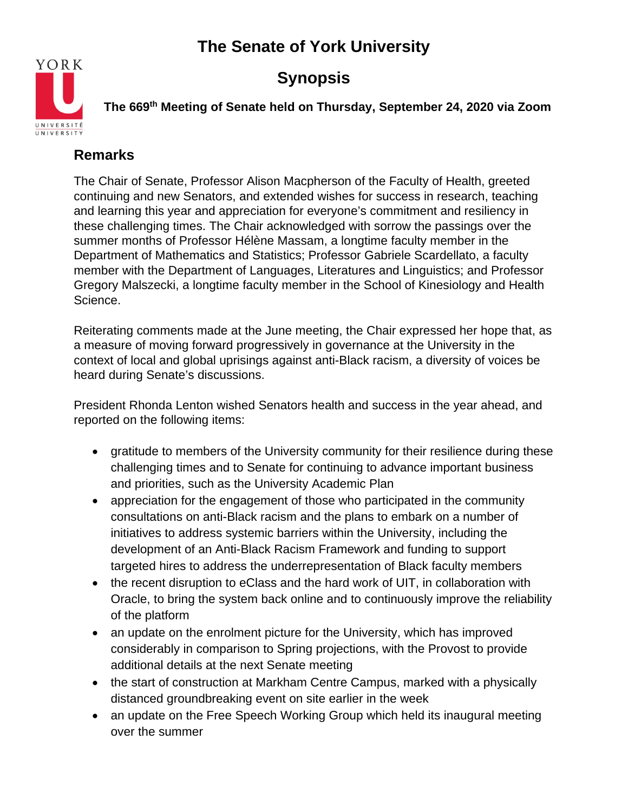

## **Synopsis**

**The 669th Meeting of Senate held on Thursday, September 24, 2020 via Zoom**

### **Remarks**

The Chair of Senate, Professor Alison Macpherson of the Faculty of Health, greeted continuing and new Senators, and extended wishes for success in research, teaching and learning this year and appreciation for everyone's commitment and resiliency in these challenging times. The Chair acknowledged with sorrow the passings over the summer months of Professor Hélène Massam, a longtime faculty member in the Department of Mathematics and Statistics; Professor Gabriele Scardellato, a faculty member with the Department of Languages, Literatures and Linguistics; and Professor Gregory Malszecki, a longtime faculty member in the School of Kinesiology and Health Science.

Reiterating comments made at the June meeting, the Chair expressed her hope that, as a measure of moving forward progressively in governance at the University in the context of local and global uprisings against anti-Black racism, a diversity of voices be heard during Senate's discussions.

President Rhonda Lenton wished Senators health and success in the year ahead, and reported on the following items:

- gratitude to members of the University community for their resilience during these challenging times and to Senate for continuing to advance important business and priorities, such as the University Academic Plan
- appreciation for the engagement of those who participated in the community consultations on anti-Black racism and the plans to embark on a number of initiatives to address systemic barriers within the University, including the development of an Anti-Black Racism Framework and funding to support targeted hires to address the underrepresentation of Black faculty members
- the recent disruption to eClass and the hard work of UIT, in collaboration with Oracle, to bring the system back online and to continuously improve the reliability of the platform
- an update on the enrolment picture for the University, which has improved considerably in comparison to Spring projections, with the Provost to provide additional details at the next Senate meeting
- the start of construction at Markham Centre Campus, marked with a physically distanced groundbreaking event on site earlier in the week
- an update on the Free Speech Working Group which held its inaugural meeting over the summer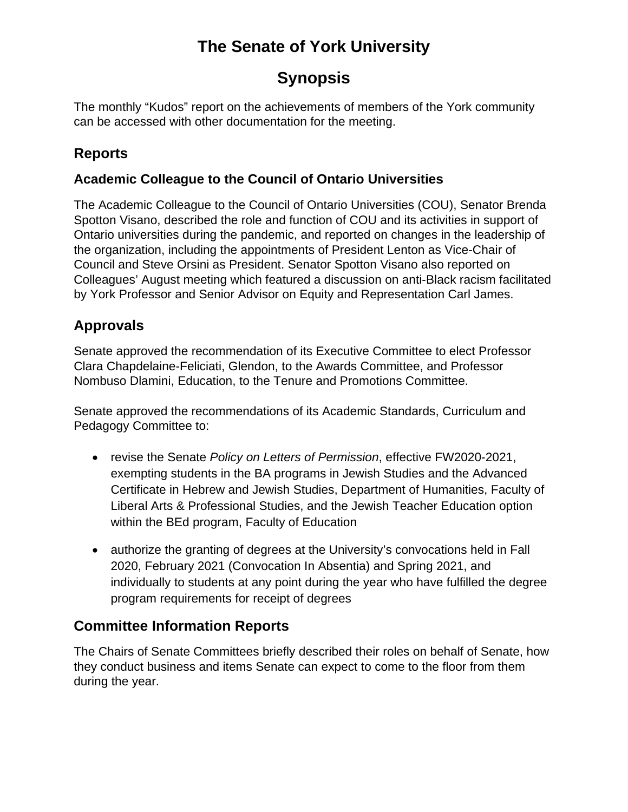# **Synopsis**

The monthly "Kudos" report on the achievements of members of the York community can be accessed with other documentation for the meeting.

## **Reports**

### **Academic Colleague to the Council of Ontario Universities**

The Academic Colleague to the Council of Ontario Universities (COU), Senator Brenda Spotton Visano, described the role and function of COU and its activities in support of Ontario universities during the pandemic, and reported on changes in the leadership of the organization, including the appointments of President Lenton as Vice-Chair of Council and Steve Orsini as President. Senator Spotton Visano also reported on Colleagues' August meeting which featured a discussion on anti-Black racism facilitated by York Professor and Senior Advisor on Equity and Representation Carl James.

## **Approvals**

Senate approved the recommendation of its Executive Committee to elect Professor Clara Chapdelaine-Feliciati, Glendon, to the Awards Committee, and Professor Nombuso Dlamini, Education, to the Tenure and Promotions Committee.

Senate approved the recommendations of its Academic Standards, Curriculum and Pedagogy Committee to:

- revise the Senate *Policy on Letters of Permission*, effective FW2020-2021, exempting students in the BA programs in Jewish Studies and the Advanced Certificate in Hebrew and Jewish Studies, Department of Humanities, Faculty of Liberal Arts & Professional Studies, and the Jewish Teacher Education option within the BEd program, Faculty of Education
- authorize the granting of degrees at the University's convocations held in Fall 2020, February 2021 (Convocation In Absentia) and Spring 2021, and individually to students at any point during the year who have fulfilled the degree program requirements for receipt of degrees

## **Committee Information Reports**

The Chairs of Senate Committees briefly described their roles on behalf of Senate, how they conduct business and items Senate can expect to come to the floor from them during the year.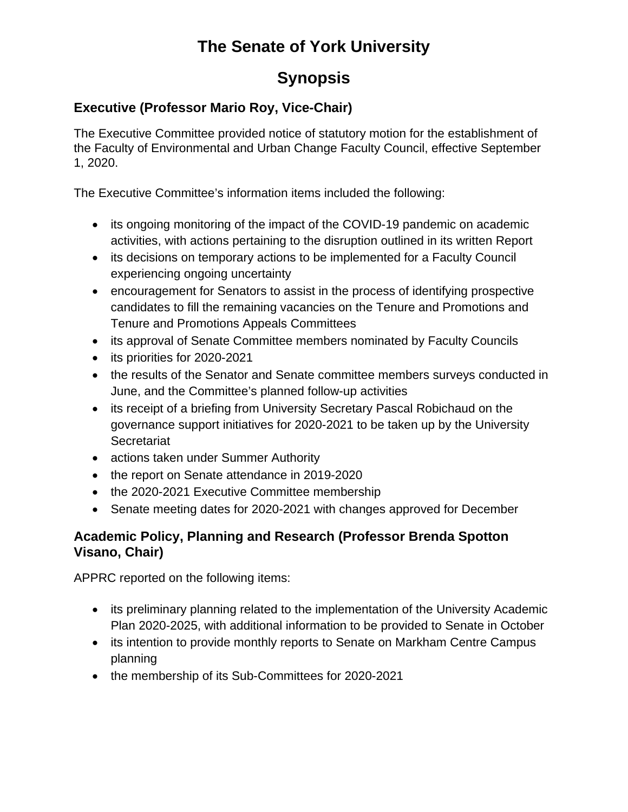# **Synopsis**

### **Executive (Professor Mario Roy, Vice-Chair)**

The Executive Committee provided notice of statutory motion for the establishment of the Faculty of Environmental and Urban Change Faculty Council, effective September 1, 2020.

The Executive Committee's information items included the following:

- its ongoing monitoring of the impact of the COVID-19 pandemic on academic activities, with actions pertaining to the disruption outlined in its written Report
- its decisions on temporary actions to be implemented for a Faculty Council experiencing ongoing uncertainty
- encouragement for Senators to assist in the process of identifying prospective candidates to fill the remaining vacancies on the Tenure and Promotions and Tenure and Promotions Appeals Committees
- its approval of Senate Committee members nominated by Faculty Councils
- its priorities for 2020-2021
- the results of the Senator and Senate committee members surveys conducted in June, and the Committee's planned follow-up activities
- its receipt of a briefing from University Secretary Pascal Robichaud on the governance support initiatives for 2020-2021 to be taken up by the University **Secretariat**
- actions taken under Summer Authority
- the report on Senate attendance in 2019-2020
- the 2020-2021 Executive Committee membership
- Senate meeting dates for 2020-2021 with changes approved for December

### **Academic Policy, Planning and Research (Professor Brenda Spotton Visano, Chair)**

APPRC reported on the following items:

- its preliminary planning related to the implementation of the University Academic Plan 2020-2025, with additional information to be provided to Senate in October
- its intention to provide monthly reports to Senate on Markham Centre Campus planning
- the membership of its Sub-Committees for 2020-2021